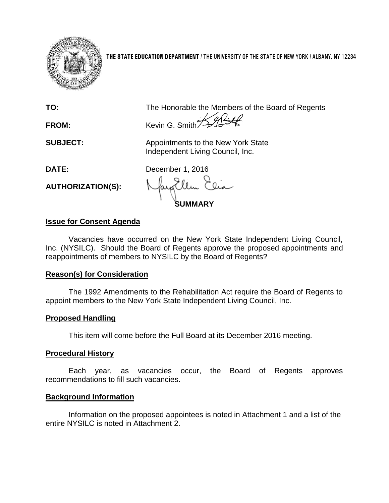

**THE STATE EDUCATION DEPARTMENT** / THE UNIVERSITY OF THE STATE OF NEW YORK / ALBANY, NY 12234

**TO:** The Honorable the Members of the Board of Regents

FROM: Kevin G. Smith

**SUBJECT:** Appointments to the New York State Independent Living Council, Inc.

**DATE:** December 1, 2016

**AUTHORIZATION(S):**

**SUMMARY**

# **Issue for Consent Agenda**

Vacancies have occurred on the New York State Independent Living Council, Inc. (NYSILC). Should the Board of Regents approve the proposed appointments and reappointments of members to NYSILC by the Board of Regents?

# **Reason(s) for Consideration**

The 1992 Amendments to the Rehabilitation Act require the Board of Regents to appoint members to the New York State Independent Living Council, Inc.

# **Proposed Handling**

This item will come before the Full Board at its December 2016 meeting.

# **Procedural History**

Each year, as vacancies occur, the Board of Regents approves recommendations to fill such vacancies.

# **Background Information**

Information on the proposed appointees is noted in Attachment 1 and a list of the entire NYSILC is noted in Attachment 2.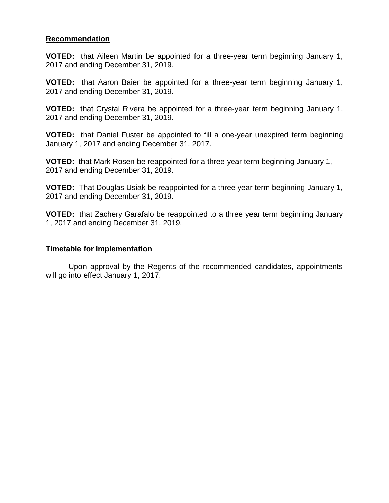#### **Recommendation**

**VOTED:** that Aileen Martin be appointed for a three-year term beginning January 1, 2017 and ending December 31, 2019.

**VOTED:** that Aaron Baier be appointed for a three-year term beginning January 1, 2017 and ending December 31, 2019.

**VOTED:** that Crystal Rivera be appointed for a three-year term beginning January 1, 2017 and ending December 31, 2019.

**VOTED:** that Daniel Fuster be appointed to fill a one-year unexpired term beginning January 1, 2017 and ending December 31, 2017.

**VOTED:** that Mark Rosen be reappointed for a three-year term beginning January 1, 2017 and ending December 31, 2019.

**VOTED:** That Douglas Usiak be reappointed for a three year term beginning January 1, 2017 and ending December 31, 2019.

**VOTED:** that Zachery Garafalo be reappointed to a three year term beginning January 1, 2017 and ending December 31, 2019.

#### **Timetable for Implementation**

Upon approval by the Regents of the recommended candidates, appointments will go into effect January 1, 2017.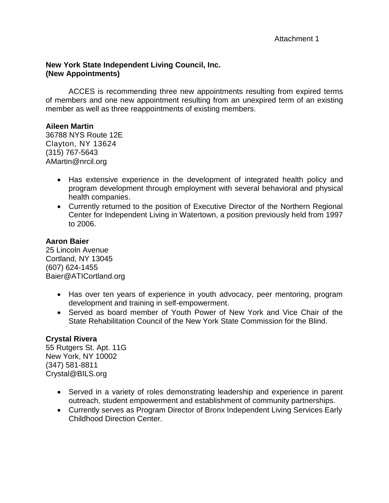### **New York State Independent Living Council, Inc. (New Appointments)**

ACCES is recommending three new appointments resulting from expired terms of members and one new appointment resulting from an unexpired term of an existing member as well as three reappointments of existing members.

# **Aileen Martin**

36788 NYS Route 12E Clayton, NY 13624 (315) 767-5643 AMartin@nrcil.org

- Has extensive experience in the development of integrated health policy and program development through employment with several behavioral and physical health companies.
- Currently returned to the position of Executive Director of the Northern Regional Center for Independent Living in Watertown, a position previously held from 1997 to 2006.

# **Aaron Baier**

25 Lincoln Avenue Cortland, NY 13045 (607) 624-1455 Baier@ATICortland.org

- Has over ten years of experience in youth advocacy, peer mentoring, program development and training in self-empowerment.
- Served as board member of Youth Power of New York and Vice Chair of the State Rehabilitation Council of the New York State Commission for the Blind.

# **Crystal Rivera**

55 Rutgers St. Apt. 11G New York, NY 10002 (347) 581-8811 Crystal@BILS.org

- Served in a variety of roles demonstrating leadership and experience in parent outreach, student empowerment and establishment of community partnerships.
- Currently serves as Program Director of Bronx Independent Living Services Early Childhood Direction Center.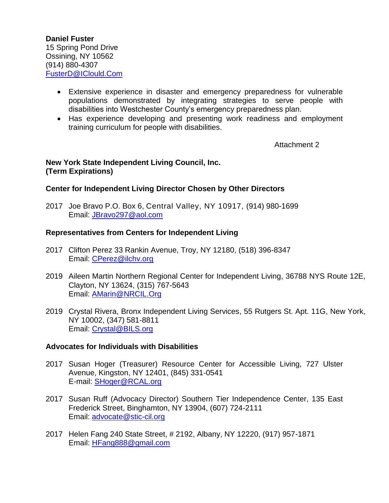**Daniel Fuster** 15 Spring Pond Drive Ossining, NY 10562 (914) 880-4307 [FusterD@IClould.Com](mailto:FusterD@IClould.Com)

- Extensive experience in disaster and emergency preparedness for vulnerable populations demonstrated by integrating strategies to serve people with disabilities into Westchester County's emergency preparedness plan.
- Has experience developing and presenting work readiness and employment training curriculum for people with disabilities.

Attachment 2

### **New York State Independent Living Council, Inc. (Term Expirations)**

# **Center for Independent Living Director Chosen by Other Directors**

2017 Joe Bravo P.O. Box 6, Central Valley, NY 10917, (914) 980-1699 Email: [JBravo297@aol.com](mailto:JBravo297@aol.com)

# **Representatives from Centers for Independent Living**

- 2017 Clifton Perez 33 Rankin Avenue, Troy, NY 12180, (518) 396-8347 Email: [CPerez@ilchv.org](mailto:CPerez@ilchv.org)
- 2019 Aileen Martin Northern Regional Center for Independent Living, 36788 NYS Route 12E, Clayton, NY 13624, (315) 767-5643 Email: [AMarin@NRCIL.Org](mailto:AMarin@NRCIL.Org)
- 2019 Crystal Rivera, Bronx Independent Living Services, 55 Rutgers St. Apt. 11G, New York, NY 10002, (347) 581-8811 Email: [Crystal@BILS.org](mailto:Crystal@BILS.org)

### **Advocates for Individuals with Disabilities**

- 2017 Susan Hoger (Treasurer) Resource Center for Accessible Living, 727 Ulster Avenue, Kingston, NY 12401, (845) 331-0541 E-mail: [SHoger@RCAL.org](mailto:SHoger@RCAL.org)
- 2017 Susan Ruff (Advocacy Director) Southern Tier Independence Center, 135 East Frederick Street, Binghamton, NY 13904, (607) 724-2111 Email: [advocate@stic-cil.org](mailto:advocate@stic-cil.org)
- 2017 Helen Fang 240 State Street, # 2192, Albany, NY 12220, (917) 957-1871 Email: [HFang888@gmail.com](mailto:HFang888@gmail.com)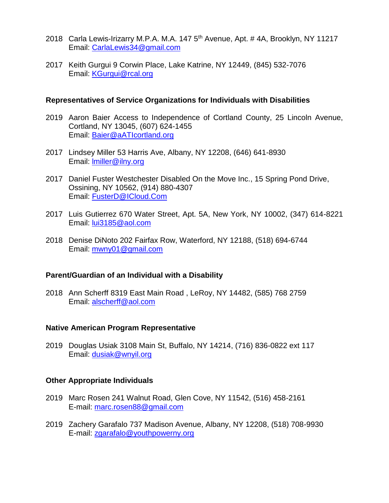- 2018 Carla Lewis-Irizarry M.P.A. M.A. 147 5<sup>th</sup> Avenue, Apt. # 4A, Brooklyn, NY 11217 Email: [CarlaLewis34@gmail.com](mailto:CarlaLewis34@gmail.com)
- 2017 Keith Gurgui 9 Corwin Place, Lake Katrine, NY 12449, (845) 532-7076 Email: [KGurgui@rcal.org](mailto:KGurgui@rcal.org)

#### **Representatives of Service Organizations for Individuals with Disabilities**

- 2019 Aaron Baier Access to Independence of Cortland County, 25 Lincoln Avenue, Cortland, NY 13045, (607) 624-1455 Email: [Baier@aATIcortland.org](mailto:Baier@aATIcortland.org)
- 2017 Lindsey Miller 53 Harris Ave, Albany, NY 12208, (646) 641-8930 Email: [lmiller@ilny.org](mailto:lmiller@ilny.org)
- 2017 Daniel Fuster Westchester Disabled On the Move Inc., 15 Spring Pond Drive, Ossining, NY 10562, (914) 880-4307 Email: [FusterD@ICloud.Com](mailto:FusterD@ICloud.Com)
- 2017 Luis Gutierrez 670 Water Street, Apt. 5A, New York, NY 10002, (347) 614-8221 Email: [lui3185@aol.com](mailto:lui3185@aol.com)
- 2018 Denise DiNoto 202 Fairfax Row, Waterford, NY 12188, (518) 694-6744 Email: [mwny01@gmail.com](mailto:mwny01@gmail.com)

#### **Parent/Guardian of an Individual with a Disability**

2018 Ann Scherff 8319 East Main Road , LeRoy, NY 14482, (585) 768 2759 Email: [alscherff@aol.com](mailto:alscherff@aol.com)

### **Native American Program Representative**

2019 Douglas Usiak 3108 Main St, Buffalo, NY 14214, (716) 836-0822 ext 117 Email: [dusiak@wnyil.org](mailto:dusiak@wnyil.org)

#### **Other Appropriate Individuals**

- 2019 Marc Rosen 241 Walnut Road, Glen Cove, NY 11542, (516) 458-2161 E-mail: [marc.rosen88@gmail.com](mailto:marc.rosen88@gmail.com)
- 2019 Zachery Garafalo 737 Madison Avenue, Albany, NY 12208, (518) 708-9930 E-mail: [zgarafalo@youthpowerny.org](mailto:zgarafalo@youthpowerny.org)